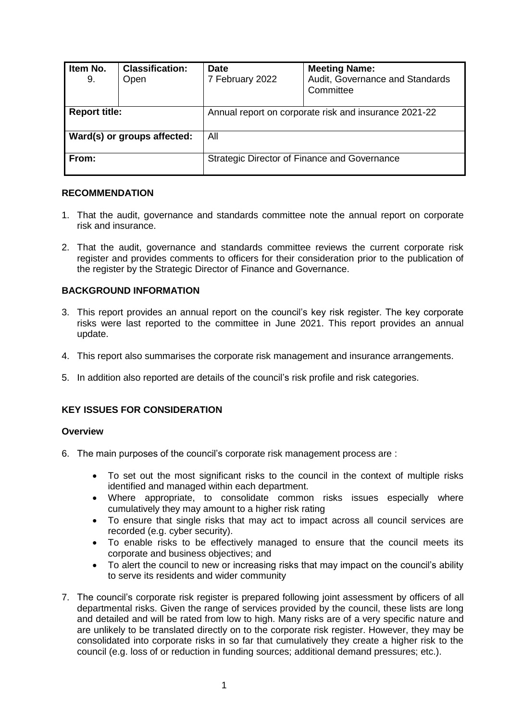| Item No.<br>9.              | <b>Classification:</b><br>Open | <b>Date</b><br>7 February 2022                        | <b>Meeting Name:</b><br>Audit, Governance and Standards<br>Committee |
|-----------------------------|--------------------------------|-------------------------------------------------------|----------------------------------------------------------------------|
| <b>Report title:</b>        |                                | Annual report on corporate risk and insurance 2021-22 |                                                                      |
| Ward(s) or groups affected: |                                | All                                                   |                                                                      |
| From:                       |                                | Strategic Director of Finance and Governance          |                                                                      |

## **RECOMMENDATION**

- 1. That the audit, governance and standards committee note the annual report on corporate risk and insurance.
- 2. That the audit, governance and standards committee reviews the current corporate risk register and provides comments to officers for their consideration prior to the publication of the register by the Strategic Director of Finance and Governance.

#### **BACKGROUND INFORMATION**

- 3. This report provides an annual report on the council's key risk register. The key corporate risks were last reported to the committee in June 2021. This report provides an annual update.
- 4. This report also summarises the corporate risk management and insurance arrangements.
- 5. In addition also reported are details of the council's risk profile and risk categories.

# **KEY ISSUES FOR CONSIDERATION**

#### **Overview**

- 6. The main purposes of the council's corporate risk management process are :
	- To set out the most significant risks to the council in the context of multiple risks identified and managed within each department.
	- Where appropriate, to consolidate common risks issues especially where cumulatively they may amount to a higher risk rating
	- To ensure that single risks that may act to impact across all council services are recorded (e.g. cyber security).
	- To enable risks to be effectively managed to ensure that the council meets its corporate and business objectives; and
	- To alert the council to new or increasing risks that may impact on the council's ability to serve its residents and wider community
- 7. The council's corporate risk register is prepared following joint assessment by officers of all departmental risks. Given the range of services provided by the council, these lists are long and detailed and will be rated from low to high. Many risks are of a very specific nature and are unlikely to be translated directly on to the corporate risk register. However, they may be consolidated into corporate risks in so far that cumulatively they create a higher risk to the council (e.g. loss of or reduction in funding sources; additional demand pressures; etc.).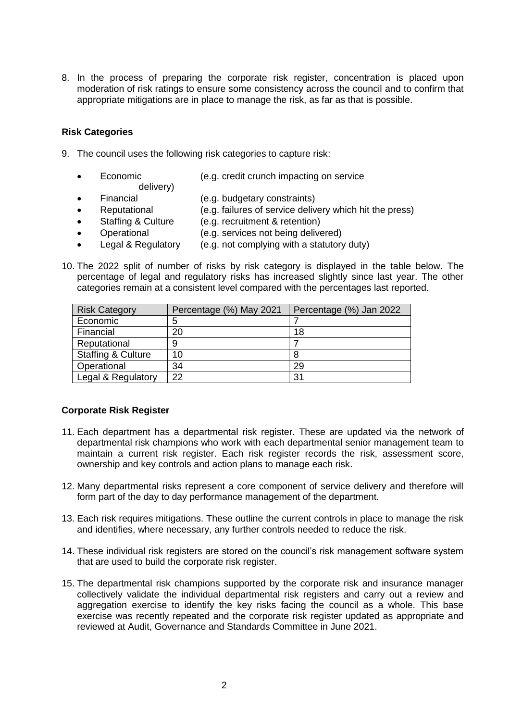8. In the process of preparing the corporate risk register, concentration is placed upon moderation of risk ratings to ensure some consistency across the council and to confirm that appropriate mitigations are in place to manage the risk, as far as that is possible.

## **Risk Categories**

- 9. The council uses the following risk categories to capture risk:
	- Economic (e.g. credit crunch impacting on service delivery)
	- Financial (e.g. budgetary constraints)
	- Reputational (e.g. failures of service delivery which hit the press)
	- Staffing & Culture (e.g. recruitment & retention)
		- Operational (e.g. services not being delivered)
	- Legal & Regulatory (e.g. not complying with a statutory duty)
- 10. The 2022 split of number of risks by risk category is displayed in the table below. The percentage of legal and regulatory risks has increased slightly since last year. The other categories remain at a consistent level compared with the percentages last reported.

| <b>Risk Category</b>          | Percentage (%) May 2021 | Percentage (%) Jan 2022 |
|-------------------------------|-------------------------|-------------------------|
| Economic                      | 5                       |                         |
| Financial                     | 20                      | 18                      |
| Reputational                  | 9                       |                         |
| <b>Staffing &amp; Culture</b> | 10                      | 8                       |
| Operational                   | 34                      | 29                      |
| Legal & Regulatory            | 22                      | 31                      |

# **Corporate Risk Register**

- 11. Each department has a departmental risk register. These are updated via the network of departmental risk champions who work with each departmental senior management team to maintain a current risk register. Each risk register records the risk, assessment score, ownership and key controls and action plans to manage each risk.
- 12. Many departmental risks represent a core component of service delivery and therefore will form part of the day to day performance management of the department.
- 13. Each risk requires mitigations. These outline the current controls in place to manage the risk and identifies, where necessary, any further controls needed to reduce the risk.
- 14. These individual risk registers are stored on the council's risk management software system that are used to build the corporate risk register.
- 15. The departmental risk champions supported by the corporate risk and insurance manager collectively validate the individual departmental risk registers and carry out a review and aggregation exercise to identify the key risks facing the council as a whole. This base exercise was recently repeated and the corporate risk register updated as appropriate and reviewed at Audit, Governance and Standards Committee in June 2021.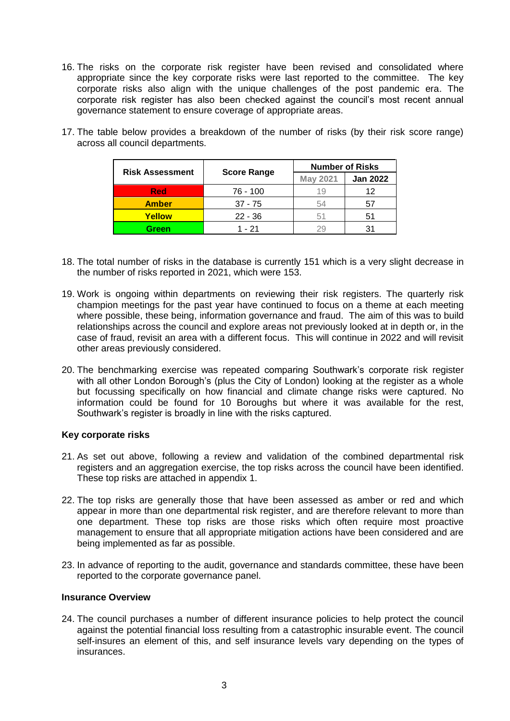16. The risks on the corporate risk register have been revised and consolidated where appropriate since the key corporate risks were last reported to the committee. The key corporate risks also align with the unique challenges of the post pandemic era. The corporate risk register has also been checked against the council's most recent annual governance statement to ensure coverage of appropriate areas.

| <b>Risk Assessment</b> |                    | <b>Number of Risks</b> |                 |
|------------------------|--------------------|------------------------|-----------------|
|                        | <b>Score Range</b> | <b>May 2021</b>        | <b>Jan 2022</b> |
| <b>Red</b>             | 76 - 100           | 19                     | 12              |
| <b>Amber</b>           | $37 - 75$          | 54                     | 57              |
| Yellow                 | $22 - 36$          | 51                     |                 |
| Green                  | 1 - 21             | 29                     |                 |

17. The table below provides a breakdown of the number of risks (by their risk score range) across all council departments.

- 18. The total number of risks in the database is currently 151 which is a very slight decrease in the number of risks reported in 2021, which were 153.
- 19. Work is ongoing within departments on reviewing their risk registers. The quarterly risk champion meetings for the past year have continued to focus on a theme at each meeting where possible, these being, information governance and fraud. The aim of this was to build relationships across the council and explore areas not previously looked at in depth or, in the case of fraud, revisit an area with a different focus. This will continue in 2022 and will revisit other areas previously considered.
- 20. The benchmarking exercise was repeated comparing Southwark's corporate risk register with all other London Borough's (plus the City of London) looking at the register as a whole but focussing specifically on how financial and climate change risks were captured. No information could be found for 10 Boroughs but where it was available for the rest, Southwark's register is broadly in line with the risks captured.

# **Key corporate risks**

- 21. As set out above, following a review and validation of the combined departmental risk registers and an aggregation exercise, the top risks across the council have been identified. These top risks are attached in appendix 1.
- 22. The top risks are generally those that have been assessed as amber or red and which appear in more than one departmental risk register, and are therefore relevant to more than one department. These top risks are those risks which often require most proactive management to ensure that all appropriate mitigation actions have been considered and are being implemented as far as possible.
- 23. In advance of reporting to the audit, governance and standards committee, these have been reported to the corporate governance panel.

# **Insurance Overview**

24. The council purchases a number of different insurance policies to help protect the council against the potential financial loss resulting from a catastrophic insurable event. The council self-insures an element of this, and self insurance levels vary depending on the types of insurances.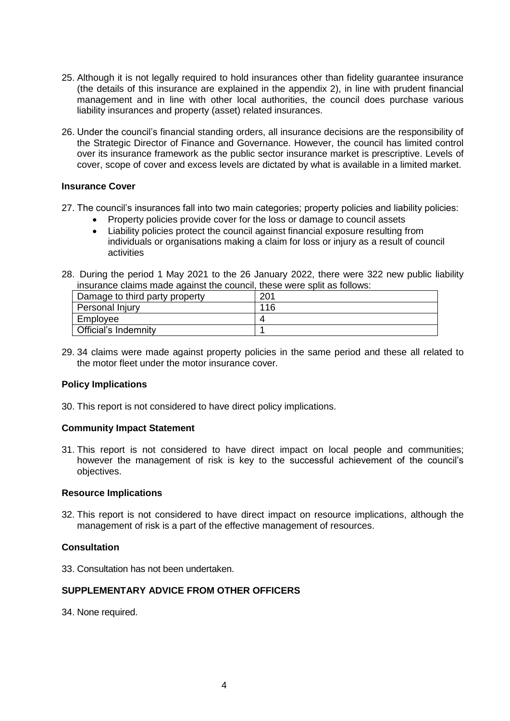- 25. Although it is not legally required to hold insurances other than fidelity guarantee insurance (the details of this insurance are explained in the appendix 2), in line with prudent financial management and in line with other local authorities, the council does purchase various liability insurances and property (asset) related insurances.
- 26. Under the council's financial standing orders, all insurance decisions are the responsibility of the Strategic Director of Finance and Governance. However, the council has limited control over its insurance framework as the public sector insurance market is prescriptive. Levels of cover, scope of cover and excess levels are dictated by what is available in a limited market.

#### **Insurance Cover**

27. The council's insurances fall into two main categories; property policies and liability policies:

- Property policies provide cover for the loss or damage to council assets
- Liability policies protect the council against financial exposure resulting from individuals or organisations making a claim for loss or injury as a result of council activities
- 28. During the period 1 May 2021 to the 26 January 2022, there were 322 new public liability insurance claims made against the council, these were split as follows:

| Damage to third party property | 201 |
|--------------------------------|-----|
| Personal Injury                | 116 |
| Employee                       |     |
| Official's Indemnity           |     |

29. 34 claims were made against property policies in the same period and these all related to the motor fleet under the motor insurance cover*.*

#### **Policy Implications**

30. This report is not considered to have direct policy implications.

# **Community Impact Statement**

31. This report is not considered to have direct impact on local people and communities; however the management of risk is key to the successful achievement of the council's objectives.

#### **Resource Implications**

32. This report is not considered to have direct impact on resource implications, although the management of risk is a part of the effective management of resources.

# **Consultation**

33. Consultation has not been undertaken.

# **SUPPLEMENTARY ADVICE FROM OTHER OFFICERS**

34. None required.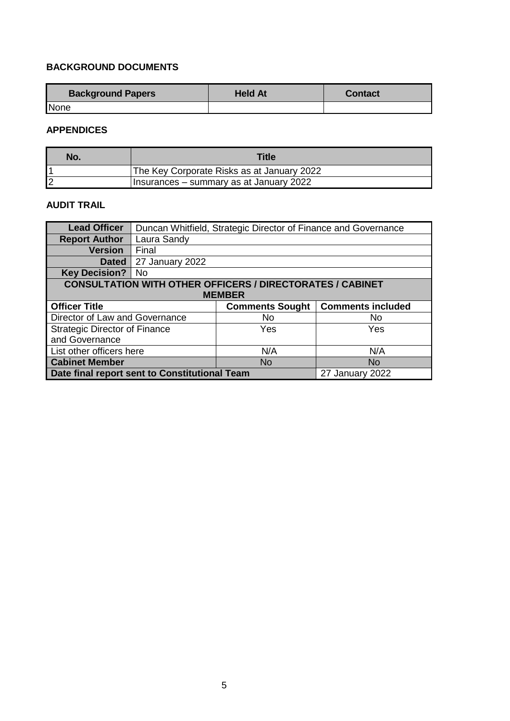# **BACKGROUND DOCUMENTS**

| <b>Background Papers</b> | <b>Held At</b> | <b>Contact</b> |
|--------------------------|----------------|----------------|
| None                     |                |                |

# **APPENDICES**

| No. | <b>Title</b>                               |
|-----|--------------------------------------------|
|     | The Key Corporate Risks as at January 2022 |
|     | Insurances – summary as at January 2022    |

# **AUDIT TRAIL**

| <b>Lead Officer</b>                                                        | Duncan Whitfield, Strategic Director of Finance and Governance |           |           |
|----------------------------------------------------------------------------|----------------------------------------------------------------|-----------|-----------|
| <b>Report Author</b>                                                       | Laura Sandy                                                    |           |           |
| <b>Version</b>                                                             | Final                                                          |           |           |
| <b>Dated</b>                                                               | 27 January 2022                                                |           |           |
| <b>Key Decision?</b>                                                       | No                                                             |           |           |
| <b>CONSULTATION WITH OTHER OFFICERS / DIRECTORATES / CABINET</b>           |                                                                |           |           |
| <b>MEMBER</b>                                                              |                                                                |           |           |
| <b>Comments included</b><br><b>Officer Title</b><br><b>Comments Sought</b> |                                                                |           |           |
| Director of Law and Governance<br><b>No</b><br>No.                         |                                                                |           |           |
| <b>Strategic Director of Finance</b>                                       |                                                                | Yes       | Yes       |
| and Governance                                                             |                                                                |           |           |
|                                                                            |                                                                |           |           |
| List other officers here                                                   |                                                                | N/A       | N/A       |
| <b>Cabinet Member</b>                                                      |                                                                | <b>No</b> | <b>No</b> |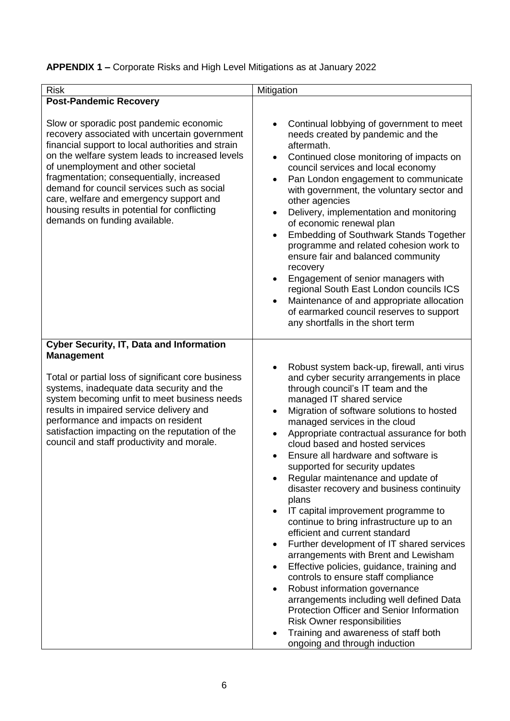# **APPENDIX 1 –** Corporate Risks and High Level Mitigations as at January 2022

| <b>Risk</b>                                                                                                                                                                                                                                                                                                                                                                                                                                                   | Mitigation                                                                                                                                                                                                                                                                                                                                                                                                                                                                                                                                                                                                                                                                                                                                                                                                                                                                                                                                                                                                                                                                          |
|---------------------------------------------------------------------------------------------------------------------------------------------------------------------------------------------------------------------------------------------------------------------------------------------------------------------------------------------------------------------------------------------------------------------------------------------------------------|-------------------------------------------------------------------------------------------------------------------------------------------------------------------------------------------------------------------------------------------------------------------------------------------------------------------------------------------------------------------------------------------------------------------------------------------------------------------------------------------------------------------------------------------------------------------------------------------------------------------------------------------------------------------------------------------------------------------------------------------------------------------------------------------------------------------------------------------------------------------------------------------------------------------------------------------------------------------------------------------------------------------------------------------------------------------------------------|
| <b>Post-Pandemic Recovery</b>                                                                                                                                                                                                                                                                                                                                                                                                                                 |                                                                                                                                                                                                                                                                                                                                                                                                                                                                                                                                                                                                                                                                                                                                                                                                                                                                                                                                                                                                                                                                                     |
| Slow or sporadic post pandemic economic<br>recovery associated with uncertain government<br>financial support to local authorities and strain<br>on the welfare system leads to increased levels<br>of unemployment and other societal<br>fragmentation; consequentially, increased<br>demand for council services such as social<br>care, welfare and emergency support and<br>housing results in potential for conflicting<br>demands on funding available. | Continual lobbying of government to meet<br>needs created by pandemic and the<br>aftermath.<br>Continued close monitoring of impacts on<br>$\bullet$<br>council services and local economy<br>Pan London engagement to communicate<br>$\bullet$<br>with government, the voluntary sector and<br>other agencies<br>Delivery, implementation and monitoring<br>$\bullet$<br>of economic renewal plan<br><b>Embedding of Southwark Stands Together</b><br>$\bullet$<br>programme and related cohesion work to<br>ensure fair and balanced community<br>recovery<br>Engagement of senior managers with<br>$\bullet$<br>regional South East London councils ICS<br>Maintenance of and appropriate allocation<br>$\bullet$<br>of earmarked council reserves to support<br>any shortfalls in the short term                                                                                                                                                                                                                                                                                |
| <b>Cyber Security, IT, Data and Information</b>                                                                                                                                                                                                                                                                                                                                                                                                               |                                                                                                                                                                                                                                                                                                                                                                                                                                                                                                                                                                                                                                                                                                                                                                                                                                                                                                                                                                                                                                                                                     |
| <b>Management</b><br>Total or partial loss of significant core business<br>systems, inadequate data security and the<br>system becoming unfit to meet business needs<br>results in impaired service delivery and<br>performance and impacts on resident<br>satisfaction impacting on the reputation of the<br>council and staff productivity and morale.                                                                                                      | Robust system back-up, firewall, anti virus<br>and cyber security arrangements in place<br>through council's IT team and the<br>managed IT shared service<br>Migration of software solutions to hosted<br>$\bullet$<br>managed services in the cloud<br>Appropriate contractual assurance for both<br>$\bullet$<br>cloud based and hosted services<br>Ensure all hardware and software is<br>supported for security updates<br>Regular maintenance and update of<br>disaster recovery and business continuity<br>plans<br>IT capital improvement programme to<br>continue to bring infrastructure up to an<br>efficient and current standard<br>Further development of IT shared services<br>$\bullet$<br>arrangements with Brent and Lewisham<br>Effective policies, guidance, training and<br>controls to ensure staff compliance<br>Robust information governance<br>arrangements including well defined Data<br><b>Protection Officer and Senior Information</b><br><b>Risk Owner responsibilities</b><br>Training and awareness of staff both<br>ongoing and through induction |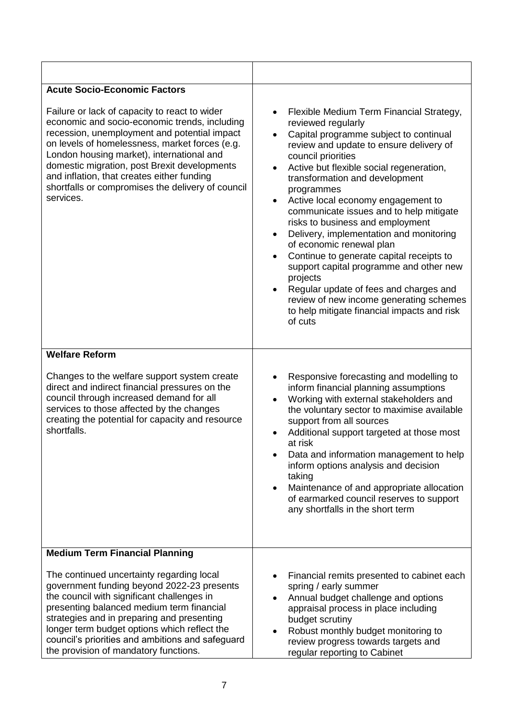| <b>Acute Socio-Economic Factors</b>                                                                                                                                                                                                                                                                                                                                                                           |                                                                                                                                                                                                                                                                                                                                                                                                                                                                                                                                                                                                                                                                                                                                                                                                                |  |
|---------------------------------------------------------------------------------------------------------------------------------------------------------------------------------------------------------------------------------------------------------------------------------------------------------------------------------------------------------------------------------------------------------------|----------------------------------------------------------------------------------------------------------------------------------------------------------------------------------------------------------------------------------------------------------------------------------------------------------------------------------------------------------------------------------------------------------------------------------------------------------------------------------------------------------------------------------------------------------------------------------------------------------------------------------------------------------------------------------------------------------------------------------------------------------------------------------------------------------------|--|
| Failure or lack of capacity to react to wider<br>economic and socio-economic trends, including<br>recession, unemployment and potential impact<br>on levels of homelessness, market forces (e.g.<br>London housing market), international and<br>domestic migration, post Brexit developments<br>and inflation, that creates either funding<br>shortfalls or compromises the delivery of council<br>services. | Flexible Medium Term Financial Strategy,<br>$\bullet$<br>reviewed regularly<br>Capital programme subject to continual<br>$\bullet$<br>review and update to ensure delivery of<br>council priorities<br>Active but flexible social regeneration,<br>$\bullet$<br>transformation and development<br>programmes<br>Active local economy engagement to<br>$\bullet$<br>communicate issues and to help mitigate<br>risks to business and employment<br>Delivery, implementation and monitoring<br>$\bullet$<br>of economic renewal plan<br>Continue to generate capital receipts to<br>$\bullet$<br>support capital programme and other new<br>projects<br>Regular update of fees and charges and<br>$\bullet$<br>review of new income generating schemes<br>to help mitigate financial impacts and risk<br>of cuts |  |
| <b>Welfare Reform</b>                                                                                                                                                                                                                                                                                                                                                                                         |                                                                                                                                                                                                                                                                                                                                                                                                                                                                                                                                                                                                                                                                                                                                                                                                                |  |
| Changes to the welfare support system create<br>direct and indirect financial pressures on the<br>council through increased demand for all<br>services to those affected by the changes<br>creating the potential for capacity and resource<br>shortfalls.                                                                                                                                                    | Responsive forecasting and modelling to<br>$\bullet$<br>inform financial planning assumptions<br>Working with external stakeholders and<br>$\bullet$<br>the voluntary sector to maximise available<br>support from all sources<br>Additional support targeted at those most<br>at risk<br>Data and information management to help<br>inform options analysis and decision<br>taking<br>Maintenance of and appropriate allocation<br>$\bullet$<br>of earmarked council reserves to support<br>any shortfalls in the short term                                                                                                                                                                                                                                                                                  |  |
| <b>Medium Term Financial Planning</b>                                                                                                                                                                                                                                                                                                                                                                         |                                                                                                                                                                                                                                                                                                                                                                                                                                                                                                                                                                                                                                                                                                                                                                                                                |  |
| The continued uncertainty regarding local<br>government funding beyond 2022-23 presents<br>the council with significant challenges in<br>presenting balanced medium term financial<br>strategies and in preparing and presenting<br>longer term budget options which reflect the<br>council's priorities and ambitions and safeguard<br>the provision of mandatory functions.                                 | Financial remits presented to cabinet each<br>٠<br>spring / early summer<br>Annual budget challenge and options<br>$\bullet$<br>appraisal process in place including<br>budget scrutiny<br>Robust monthly budget monitoring to<br>$\bullet$<br>review progress towards targets and<br>regular reporting to Cabinet                                                                                                                                                                                                                                                                                                                                                                                                                                                                                             |  |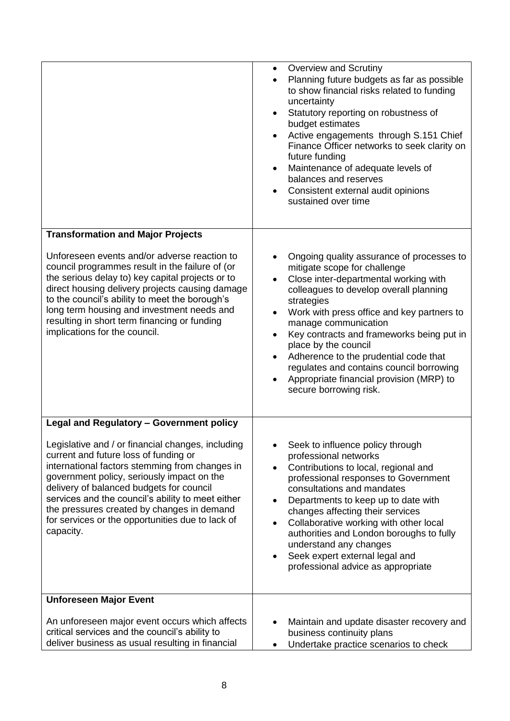|                                                                                                                                                                                                                                                                                                                                                                                                            | <b>Overview and Scrutiny</b><br>$\bullet$<br>Planning future budgets as far as possible<br>$\bullet$<br>to show financial risks related to funding<br>uncertainty<br>Statutory reporting on robustness of<br>$\bullet$<br>budget estimates<br>Active engagements through S.151 Chief<br>Finance Officer networks to seek clarity on<br>future funding<br>Maintenance of adequate levels of<br>balances and reserves<br>Consistent external audit opinions<br>sustained over time                                                                  |
|------------------------------------------------------------------------------------------------------------------------------------------------------------------------------------------------------------------------------------------------------------------------------------------------------------------------------------------------------------------------------------------------------------|---------------------------------------------------------------------------------------------------------------------------------------------------------------------------------------------------------------------------------------------------------------------------------------------------------------------------------------------------------------------------------------------------------------------------------------------------------------------------------------------------------------------------------------------------|
| <b>Transformation and Major Projects</b>                                                                                                                                                                                                                                                                                                                                                                   |                                                                                                                                                                                                                                                                                                                                                                                                                                                                                                                                                   |
| Unforeseen events and/or adverse reaction to<br>council programmes result in the failure of (or<br>the serious delay to) key capital projects or to<br>direct housing delivery projects causing damage<br>to the council's ability to meet the borough's<br>long term housing and investment needs and<br>resulting in short term financing or funding<br>implications for the council.                    | Ongoing quality assurance of processes to<br>$\bullet$<br>mitigate scope for challenge<br>Close inter-departmental working with<br>$\bullet$<br>colleagues to develop overall planning<br>strategies<br>Work with press office and key partners to<br>$\bullet$<br>manage communication<br>Key contracts and frameworks being put in<br>$\bullet$<br>place by the council<br>Adherence to the prudential code that<br>$\bullet$<br>regulates and contains council borrowing<br>Appropriate financial provision (MRP) to<br>secure borrowing risk. |
| <b>Legal and Regulatory - Government policy</b>                                                                                                                                                                                                                                                                                                                                                            |                                                                                                                                                                                                                                                                                                                                                                                                                                                                                                                                                   |
| Legislative and / or financial changes, including<br>current and future loss of funding or<br>international factors stemming from changes in<br>government policy, seriously impact on the<br>delivery of balanced budgets for council<br>services and the council's ability to meet either<br>the pressures created by changes in demand<br>for services or the opportunities due to lack of<br>capacity. | Seek to influence policy through<br>professional networks<br>Contributions to local, regional and<br>$\bullet$<br>professional responses to Government<br>consultations and mandates<br>Departments to keep up to date with<br>$\bullet$<br>changes affecting their services<br>Collaborative working with other local<br>$\bullet$<br>authorities and London boroughs to fully<br>understand any changes<br>Seek expert external legal and<br>$\bullet$<br>professional advice as appropriate                                                    |
| <b>Unforeseen Major Event</b>                                                                                                                                                                                                                                                                                                                                                                              |                                                                                                                                                                                                                                                                                                                                                                                                                                                                                                                                                   |
| An unforeseen major event occurs which affects<br>critical services and the council's ability to<br>deliver business as usual resulting in financial                                                                                                                                                                                                                                                       | Maintain and update disaster recovery and<br>$\bullet$<br>business continuity plans<br>Undertake practice scenarios to check<br>$\bullet$                                                                                                                                                                                                                                                                                                                                                                                                         |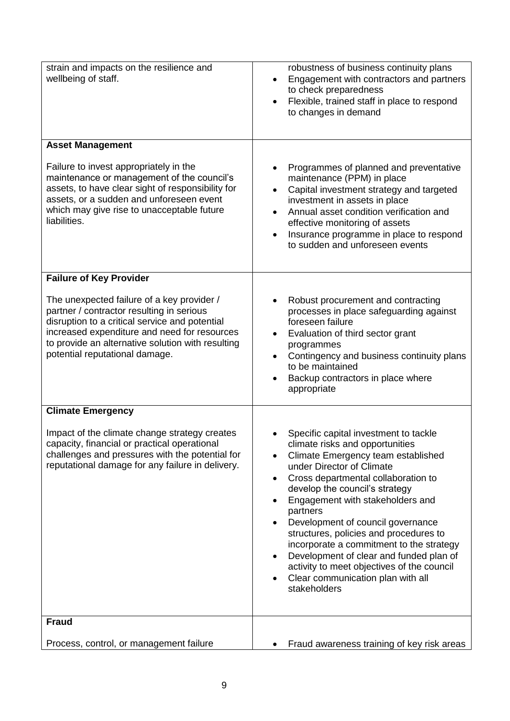| strain and impacts on the resilience and<br>wellbeing of staff.                                                                                                                                                                                                                  | robustness of business continuity plans<br>Engagement with contractors and partners<br>$\bullet$<br>to check preparedness<br>Flexible, trained staff in place to respond<br>$\bullet$<br>to changes in demand                                                                                                                                                                                                                                                                                                                                                                                                       |
|----------------------------------------------------------------------------------------------------------------------------------------------------------------------------------------------------------------------------------------------------------------------------------|---------------------------------------------------------------------------------------------------------------------------------------------------------------------------------------------------------------------------------------------------------------------------------------------------------------------------------------------------------------------------------------------------------------------------------------------------------------------------------------------------------------------------------------------------------------------------------------------------------------------|
| <b>Asset Management</b>                                                                                                                                                                                                                                                          |                                                                                                                                                                                                                                                                                                                                                                                                                                                                                                                                                                                                                     |
| Failure to invest appropriately in the<br>maintenance or management of the council's<br>assets, to have clear sight of responsibility for<br>assets, or a sudden and unforeseen event<br>which may give rise to unacceptable future<br>liabilities.                              | Programmes of planned and preventative<br>maintenance (PPM) in place<br>Capital investment strategy and targeted<br>$\bullet$<br>investment in assets in place<br>Annual asset condition verification and<br>$\bullet$<br>effective monitoring of assets<br>Insurance programme in place to respond<br>$\bullet$<br>to sudden and unforeseen events                                                                                                                                                                                                                                                                 |
| <b>Failure of Key Provider</b>                                                                                                                                                                                                                                                   |                                                                                                                                                                                                                                                                                                                                                                                                                                                                                                                                                                                                                     |
| The unexpected failure of a key provider /<br>partner / contractor resulting in serious<br>disruption to a critical service and potential<br>increased expenditure and need for resources<br>to provide an alternative solution with resulting<br>potential reputational damage. | Robust procurement and contracting<br>processes in place safeguarding against<br>foreseen failure<br>Evaluation of third sector grant<br>$\bullet$<br>programmes<br>Contingency and business continuity plans<br>$\bullet$<br>to be maintained<br>Backup contractors in place where<br>appropriate                                                                                                                                                                                                                                                                                                                  |
| <b>Climate Emergency</b>                                                                                                                                                                                                                                                         |                                                                                                                                                                                                                                                                                                                                                                                                                                                                                                                                                                                                                     |
| Impact of the climate change strategy creates<br>capacity, financial or practical operational<br>challenges and pressures with the potential for<br>reputational damage for any failure in delivery.                                                                             | Specific capital investment to tackle<br>climate risks and opportunities<br>Climate Emergency team established<br>$\bullet$<br>under Director of Climate<br>Cross departmental collaboration to<br>$\bullet$<br>develop the council's strategy<br>Engagement with stakeholders and<br>٠<br>partners<br>Development of council governance<br>$\bullet$<br>structures, policies and procedures to<br>incorporate a commitment to the strategy<br>Development of clear and funded plan of<br>$\bullet$<br>activity to meet objectives of the council<br>Clear communication plan with all<br>$\bullet$<br>stakeholders |
| <b>Fraud</b>                                                                                                                                                                                                                                                                     |                                                                                                                                                                                                                                                                                                                                                                                                                                                                                                                                                                                                                     |
| Process, control, or management failure                                                                                                                                                                                                                                          | Fraud awareness training of key risk areas                                                                                                                                                                                                                                                                                                                                                                                                                                                                                                                                                                          |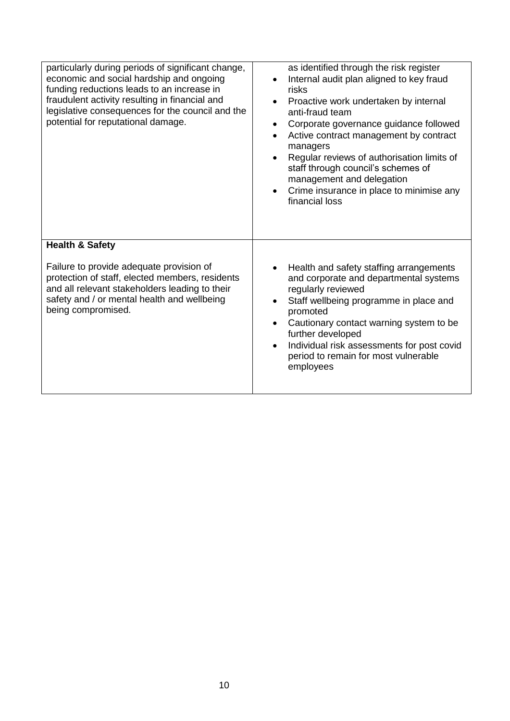| particularly during periods of significant change,<br>economic and social hardship and ongoing<br>funding reductions leads to an increase in<br>fraudulent activity resulting in financial and<br>legislative consequences for the council and the<br>potential for reputational damage. | as identified through the risk register<br>Internal audit plan aligned to key fraud<br>$\bullet$<br>risks<br>Proactive work undertaken by internal<br>$\bullet$<br>anti-fraud team<br>Corporate governance guidance followed<br>٠<br>Active contract management by contract<br>$\bullet$<br>managers<br>Regular reviews of authorisation limits of<br>$\bullet$<br>staff through council's schemes of<br>management and delegation<br>Crime insurance in place to minimise any<br>$\bullet$<br>financial loss |
|------------------------------------------------------------------------------------------------------------------------------------------------------------------------------------------------------------------------------------------------------------------------------------------|---------------------------------------------------------------------------------------------------------------------------------------------------------------------------------------------------------------------------------------------------------------------------------------------------------------------------------------------------------------------------------------------------------------------------------------------------------------------------------------------------------------|
| <b>Health &amp; Safety</b><br>Failure to provide adequate provision of<br>protection of staff, elected members, residents<br>and all relevant stakeholders leading to their<br>safety and / or mental health and wellbeing<br>being compromised.                                         | Health and safety staffing arrangements<br>and corporate and departmental systems<br>regularly reviewed<br>Staff wellbeing programme in place and<br>$\bullet$<br>promoted<br>Cautionary contact warning system to be<br>$\bullet$<br>further developed<br>Individual risk assessments for post covid<br>$\bullet$<br>period to remain for most vulnerable<br>employees                                                                                                                                       |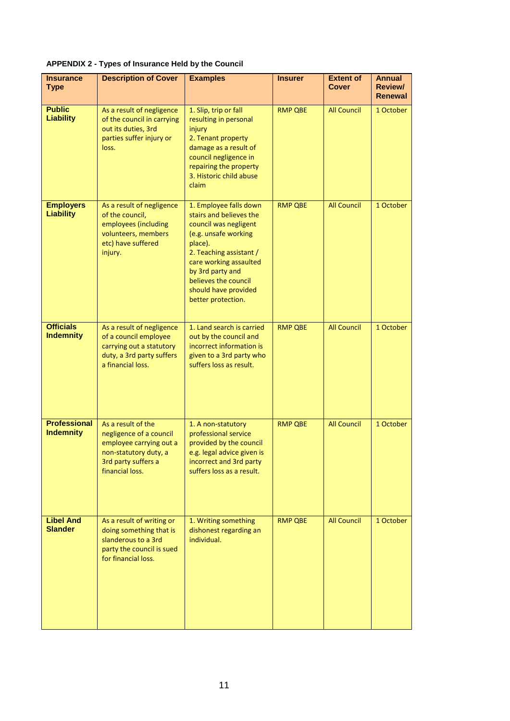| <b>Insurance</b><br><b>Type</b>         | <b>Description of Cover</b>                                                                                                                 | <b>Examples</b>                                                                                                                                                                                                                                              | <b>Insurer</b> | <b>Extent of</b><br><b>Cover</b> | <b>Annual</b><br>Review/<br><b>Renewal</b> |
|-----------------------------------------|---------------------------------------------------------------------------------------------------------------------------------------------|--------------------------------------------------------------------------------------------------------------------------------------------------------------------------------------------------------------------------------------------------------------|----------------|----------------------------------|--------------------------------------------|
| <b>Public</b><br><b>Liability</b>       | As a result of negligence<br>of the council in carrying<br>out its duties, 3rd<br>parties suffer injury or<br>loss.                         | 1. Slip, trip or fall<br>resulting in personal<br>injury<br>2. Tenant property<br>damage as a result of<br>council negligence in<br>repairing the property<br>3. Historic child abuse<br>claim                                                               | <b>RMP QBE</b> | <b>All Council</b>               | 1 October                                  |
| <b>Employers</b><br><b>Liability</b>    | As a result of negligence<br>of the council,<br>employees (including<br>volunteers, members<br>etc) have suffered<br>injury.                | 1. Employee falls down<br>stairs and believes the<br>council was negligent<br>(e.g. unsafe working<br>place).<br>2. Teaching assistant /<br>care working assaulted<br>by 3rd party and<br>believes the council<br>should have provided<br>better protection. | <b>RMP QBE</b> | <b>All Council</b>               | 1 October                                  |
| <b>Officials</b><br><b>Indemnity</b>    | As a result of negligence<br>of a council employee<br>carrying out a statutory<br>duty, a 3rd party suffers<br>a financial loss.            | 1. Land search is carried<br>out by the council and<br>incorrect information is<br>given to a 3rd party who<br>suffers loss as result.                                                                                                                       | <b>RMP QBE</b> | <b>All Council</b>               | 1 October                                  |
| <b>Professional</b><br><b>Indemnity</b> | As a result of the<br>negligence of a council<br>employee carrying out a<br>non-statutory duty, a<br>3rd party suffers a<br>financial loss. | 1. A non-statutory<br>professional service<br>provided by the council<br>e.g. legal advice given is<br>incorrect and 3rd party<br>suffers loss as a result.                                                                                                  | <b>RMP QBE</b> | <b>All Council</b>               | 1 October                                  |
| <b>Libel And</b><br><b>Slander</b>      | As a result of writing or<br>doing something that is<br>slanderous to a 3rd<br>party the council is sued<br>for financial loss.             | 1. Writing something<br>dishonest regarding an<br>individual.                                                                                                                                                                                                | <b>RMP QBE</b> | <b>All Council</b>               | 1 October                                  |

**APPENDIX 2 - Types of Insurance Held by the Council**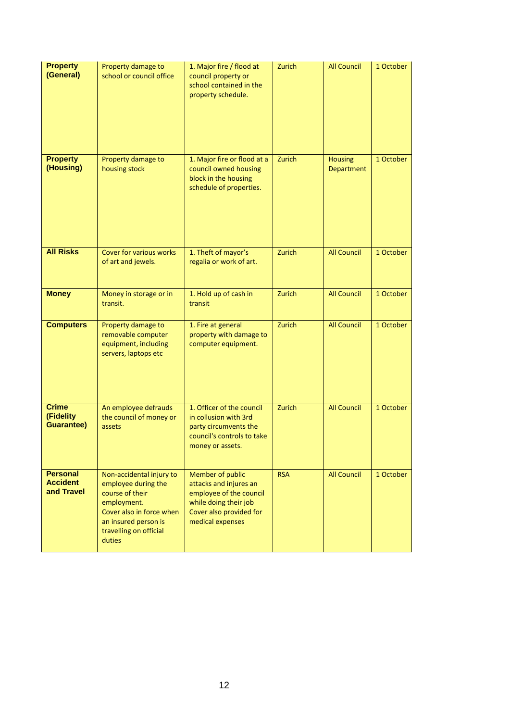| <b>Property</b><br>(General)                     | Property damage to<br>school or council office                                                                                                                            | 1. Major fire / flood at<br>council property or<br>school contained in the<br>property schedule.                                                     | Zurich     | <b>All Council</b>           | 1 October |
|--------------------------------------------------|---------------------------------------------------------------------------------------------------------------------------------------------------------------------------|------------------------------------------------------------------------------------------------------------------------------------------------------|------------|------------------------------|-----------|
| <b>Property</b><br>(Housing)                     | Property damage to<br>housing stock                                                                                                                                       | 1. Major fire or flood at a<br>council owned housing<br>block in the housing<br>schedule of properties.                                              | Zurich     | <b>Housing</b><br>Department | 1 October |
| <b>All Risks</b>                                 | Cover for various works<br>of art and jewels.                                                                                                                             | 1. Theft of mayor's<br>regalia or work of art.                                                                                                       | Zurich     | <b>All Council</b>           | 1 October |
| <b>Money</b>                                     | Money in storage or in<br>transit.                                                                                                                                        | 1. Hold up of cash in<br>transit                                                                                                                     | Zurich     | <b>All Council</b>           | 1 October |
| <b>Computers</b>                                 | Property damage to<br>removable computer<br>equipment, including<br>servers, laptops etc                                                                                  | 1. Fire at general<br>property with damage to<br>computer equipment.                                                                                 | Zurich     | <b>All Council</b>           | 1 October |
| <b>Crime</b><br>(Fidelity<br><b>Guarantee)</b>   | An employee defrauds<br>the council of money or<br>assets                                                                                                                 | 1. Officer of the council<br>in collusion with 3rd<br>party circumvents the<br>council's controls to take<br>money or assets.                        | Zurich     | <b>All Council</b>           | 1 October |
| <b>Personal</b><br><b>Accident</b><br>and Travel | Non-accidental injury to<br>employee during the<br>course of their<br>employment.<br>Cover also in force when<br>an insured person is<br>travelling on official<br>duties | <b>Member of public</b><br>attacks and injures an<br>employee of the council<br>while doing their job<br>Cover also provided for<br>medical expenses | <b>RSA</b> | <b>All Council</b>           | 1 October |